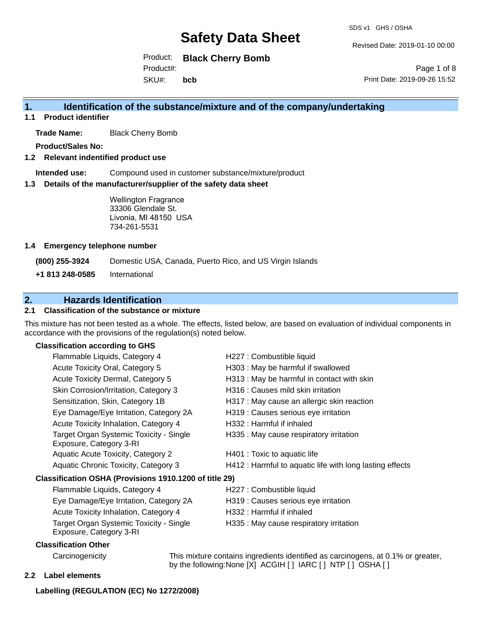SDS v1 GHS / OSHA

Revised Date: 2019-01-10 00:00

Product: **Black Cherry Bomb** SKU#: Product#: **bcb**

Page 1 of 8 Print Date: 2019-09-26 15:52

### **1. Identification of the substance/mixture and of the company/undertaking**

**1.1 Product identifier**

**Trade Name:** Black Cherry Bomb

**Product/Sales No:**

#### **1.2 Relevant indentified product use**

**Intended use:** Compound used in customer substance/mixture/product

#### **1.3 Details of the manufacturer/supplier of the safety data sheet**

Wellington Fragrance 33306 Glendale St. Livonia, MI 48150 USA 734-261-5531

#### **1.4 Emergency telephone number**

**(800) 255-3924** Domestic USA, Canada, Puerto Rico, and US Virgin Islands

**+1 813 248-0585** International

## **2. Hazards Identification**

### **2.1 Classification of the substance or mixture**

This mixture has not been tested as a whole. The effects, listed below, are based on evaluation of individual components in accordance with the provisions of the regulation(s) noted below.

#### **Classification according to GHS**

| Flammable Liquids, Category 4                                      | H227 : Combustible liquid                                |
|--------------------------------------------------------------------|----------------------------------------------------------|
| Acute Toxicity Oral, Category 5                                    | H303 : May be harmful if swallowed                       |
| Acute Toxicity Dermal, Category 5                                  | H313 : May be harmful in contact with skin               |
| Skin Corrosion/Irritation, Category 3                              | H316 : Causes mild skin irritation                       |
| Sensitization, Skin, Category 1B                                   | H317 : May cause an allergic skin reaction               |
| Eye Damage/Eye Irritation, Category 2A                             | H319 : Causes serious eye irritation                     |
| Acute Toxicity Inhalation, Category 4                              | H332 : Harmful if inhaled                                |
| Target Organ Systemic Toxicity - Single<br>Exposure, Category 3-RI | H335 : May cause respiratory irritation                  |
| Aquatic Acute Toxicity, Category 2                                 | H401 : Toxic to aquatic life                             |
| Aquatic Chronic Toxicity, Category 3                               | H412 : Harmful to aquatic life with long lasting effects |
| Classification OSHA (Provisions 1910.1200 of title 29)             |                                                          |
| Flammable Liquids, Category 4                                      | H227 : Combustible liquid                                |
| Eye Damage/Eye Irritation, Category 2A                             | H319 : Causes serious eye irritation                     |
| Acute Toxicity Inhalation, Category 4                              | H332 : Harmful if inhaled                                |
| Target Organ Systemic Toxicity - Single<br>Exposure, Category 3-RI | H335 : May cause respiratory irritation                  |
| Claeeification Othor                                               |                                                          |

#### **Classification Other**

Carcinogenicity This mixture contains ingredients identified as carcinogens, at 0.1% or greater, by the following:None [X] ACGIH [ ] IARC [ ] NTP [ ] OSHA [ ]

**2.2 Label elements**

#### **Labelling (REGULATION (EC) No 1272/2008)**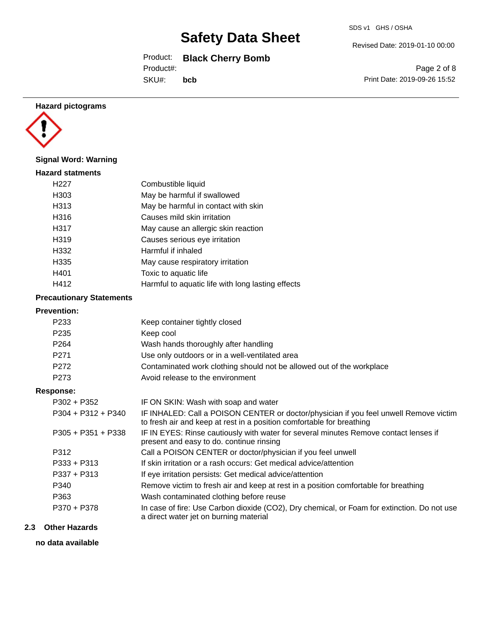Product: **Black Cherry Bomb**

Product#:

SKU#: **bcb**

#### **Hazard pictograms**



#### **Signal Word: Warning**

| <b>Hazard statments</b> |                                                   |
|-------------------------|---------------------------------------------------|
| H <sub>22</sub> 7       | Combustible liquid                                |
| H303                    | May be harmful if swallowed                       |
| H313                    | May be harmful in contact with skin               |
| H316                    | Causes mild skin irritation                       |
| H317                    | May cause an allergic skin reaction               |
| H319                    | Causes serious eye irritation                     |
| H332                    | Harmful if inhaled                                |
| H335                    | May cause respiratory irritation                  |
| H401                    | Toxic to aquatic life                             |
| H412                    | Harmful to aquatic life with long lasting effects |
|                         |                                                   |

### **Precautionary Statements**

# **Prevention:**

| <b>Prevention:</b>   |                                                                                                                                                                |
|----------------------|----------------------------------------------------------------------------------------------------------------------------------------------------------------|
| P <sub>233</sub>     | Keep container tightly closed                                                                                                                                  |
| P <sub>235</sub>     | Keep cool                                                                                                                                                      |
| P <sub>264</sub>     | Wash hands thoroughly after handling                                                                                                                           |
| P <sub>271</sub>     | Use only outdoors or in a well-ventilated area                                                                                                                 |
| P272                 | Contaminated work clothing should not be allowed out of the workplace                                                                                          |
| P273                 | Avoid release to the environment                                                                                                                               |
| <b>Response:</b>     |                                                                                                                                                                |
| $P302 + P352$        | IF ON SKIN: Wash with soap and water                                                                                                                           |
| $P304 + P312 + P340$ | IF INHALED: Call a POISON CENTER or doctor/physician if you feel unwell Remove victim<br>to fresh air and keep at rest in a position comfortable for breathing |
| $P305 + P351 + P338$ | IF IN EYES: Rinse cautiously with water for several minutes Remove contact lenses if<br>present and easy to do. continue rinsing                               |
| P312                 | Call a POISON CENTER or doctor/physician if you feel unwell                                                                                                    |
| $P333 + P313$        | If skin irritation or a rash occurs: Get medical advice/attention                                                                                              |
| $P337 + P313$        | If eye irritation persists: Get medical advice/attention                                                                                                       |
| P340                 | Remove victim to fresh air and keep at rest in a position comfortable for breathing                                                                            |
| P363                 | Wash contaminated clothing before reuse                                                                                                                        |
| P370 + P378          | In case of fire: Use Carbon dioxide (CO2), Dry chemical, or Foam for extinction. Do not use<br>a direct water jet on burning material                          |

#### **2.3 Other Hazards**

**no data available**

Revised Date: 2019-01-10 00:00

Page 2 of 8 Print Date: 2019-09-26 15:52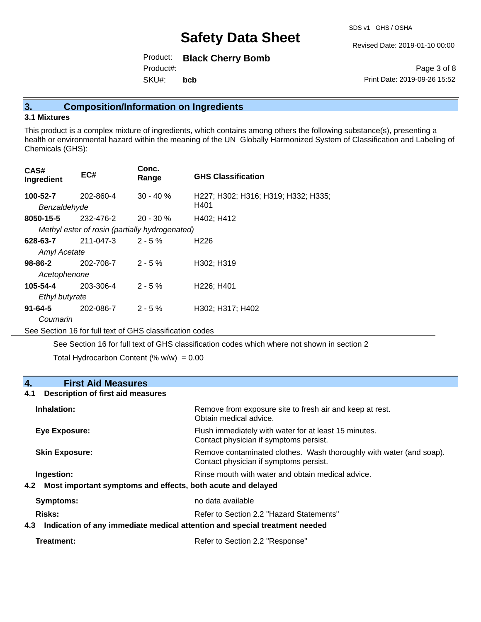SDS v1 GHS / OSHA

Revised Date: 2019-01-10 00:00

Product: **Black Cherry Bomb** SKU#: Product#: **bcb**

Page 3 of 8 Print Date: 2019-09-26 15:52

### **3. Composition/Information on Ingredients**

#### **3.1 Mixtures**

This product is a complex mixture of ingredients, which contains among others the following substance(s), presenting a health or environmental hazard within the meaning of the UN Globally Harmonized System of Classification and Labeling of Chemicals (GHS):

| CAS#<br>Ingredient       | EC#                                            | Conc.<br>Range | <b>GHS Classification</b>                   |
|--------------------------|------------------------------------------------|----------------|---------------------------------------------|
| 100-52-7<br>Benzaldehyde | 202-860-4                                      | $30 - 40%$     | H227; H302; H316; H319; H332; H335;<br>H401 |
| 8050-15-5                | 232-476-2                                      | $20 - 30 \%$   | H402; H412                                  |
|                          | Methyl ester of rosin (partially hydrogenated) |                |                                             |
| 628-63-7                 | 211-047-3                                      | $2 - 5%$       | H <sub>226</sub>                            |
| <b>Amyl Acetate</b>      |                                                |                |                                             |
| 98-86-2                  | 202-708-7                                      | $2 - 5%$       | H302; H319                                  |
| Acetophenone             |                                                |                |                                             |
| 105-54-4                 | 203-306-4                                      | $2 - 5%$       | H <sub>226</sub> ; H <sub>401</sub>         |
| Ethyl butyrate           |                                                |                |                                             |
| $91 - 64 - 5$            | 202-086-7                                      | $2 - 5%$       | H302: H317: H402                            |
| Coumarin                 |                                                |                |                                             |
|                          |                                                |                |                                             |

See Section 16 for full text of GHS classification codes

See Section 16 for full text of GHS classification codes which where not shown in section 2

Total Hydrocarbon Content  $(\% w/w) = 0.00$ 

### **4. First Aid Measures**

#### **4.1 Description of first aid measures**

| Inhalation:                                                                   | Remove from exposure site to fresh air and keep at rest.<br>Obtain medical advice.                            |  |
|-------------------------------------------------------------------------------|---------------------------------------------------------------------------------------------------------------|--|
| Eye Exposure:                                                                 | Flush immediately with water for at least 15 minutes.<br>Contact physician if symptoms persist.               |  |
| <b>Skin Exposure:</b>                                                         | Remove contaminated clothes. Wash thoroughly with water (and soap).<br>Contact physician if symptoms persist. |  |
| Ingestion:<br>4.2 Most important symptoms and effects, both acute and delayed | Rinse mouth with water and obtain medical advice.                                                             |  |
| Symptoms:                                                                     | no data available                                                                                             |  |
| Risks:                                                                        | Refer to Section 2.2 "Hazard Statements"                                                                      |  |
| 4.3                                                                           | Indication of any immediate medical attention and special treatment needed                                    |  |
| Treatment:                                                                    | Refer to Section 2.2 "Response"                                                                               |  |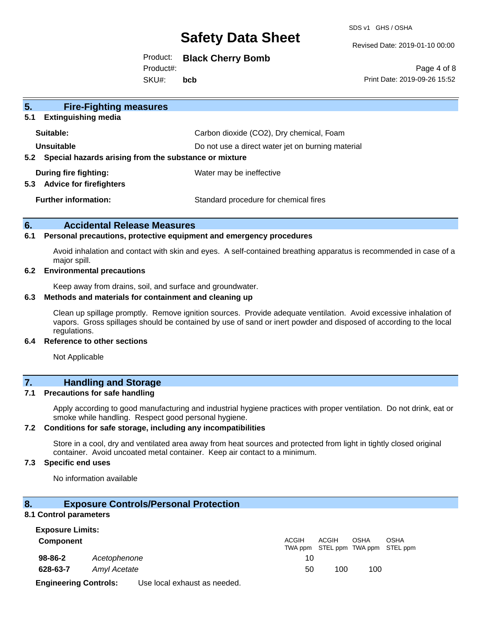SDS v1 GHS / OSHA

Revised Date: 2019-01-10 00:00

## Product: **Black Cherry Bomb**

Product#:

SKU#: **bcb**

Page 4 of 8 Print Date: 2019-09-26 15:52

| 5 <sub>1</sub><br><b>Fire-Fighting measures</b>              |                                                   |  |
|--------------------------------------------------------------|---------------------------------------------------|--|
| <b>Extinguishing media</b><br>5.1                            |                                                   |  |
| Suitable:                                                    | Carbon dioxide (CO2), Dry chemical, Foam          |  |
| Unsuitable                                                   | Do not use a direct water jet on burning material |  |
| Special hazards arising from the substance or mixture<br>5.2 |                                                   |  |
| During fire fighting:                                        | Water may be ineffective                          |  |
| <b>Advice for firefighters</b><br>5.3                        |                                                   |  |
| <b>Further information:</b>                                  | Standard procedure for chemical fires             |  |
|                                                              |                                                   |  |

#### **6. Accidental Release Measures**

#### **6.1 Personal precautions, protective equipment and emergency procedures**

Avoid inhalation and contact with skin and eyes. A self-contained breathing apparatus is recommended in case of a major spill.

#### **6.2 Environmental precautions**

Keep away from drains, soil, and surface and groundwater.

#### **6.3 Methods and materials for containment and cleaning up**

Clean up spillage promptly. Remove ignition sources. Provide adequate ventilation. Avoid excessive inhalation of vapors. Gross spillages should be contained by use of sand or inert powder and disposed of according to the local regulations.

#### **6.4 Reference to other sections**

Not Applicable

## **7. Handling and Storage**

#### **7.1 Precautions for safe handling**

Apply according to good manufacturing and industrial hygiene practices with proper ventilation. Do not drink, eat or smoke while handling. Respect good personal hygiene.

#### **7.2 Conditions for safe storage, including any incompatibilities**

Store in a cool, dry and ventilated area away from heat sources and protected from light in tightly closed original container. Avoid uncoated metal container. Keep air contact to a minimum.

### **7.3 Specific end uses**

No information available

#### **8. Exposure Controls/Personal Protection**

#### **8.1 Control parameters**

| <b>Exposure Limits:</b>      |              |                              |              |                                            |      |             |
|------------------------------|--------------|------------------------------|--------------|--------------------------------------------|------|-------------|
| <b>Component</b>             |              |                              | <b>ACGIH</b> | ACGIH<br>TWA ppm STEL ppm TWA ppm STEL ppm | OSHA | <b>OSHA</b> |
| 98-86-2                      | Acetophenone |                              | 10           |                                            |      |             |
| 628-63-7                     | Amyl Acetate |                              | 50           | 100                                        | 100  |             |
| <b>Engineering Controls:</b> |              | Use local exhaust as needed. |              |                                            |      |             |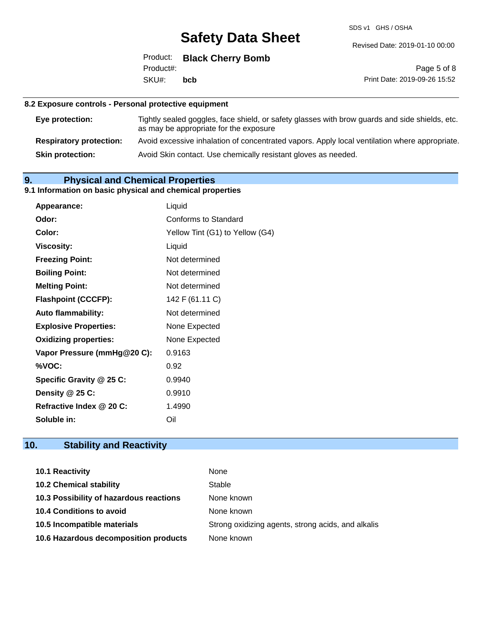SDS v1 GHS / OSHA

Revised Date: 2019-01-10 00:00

|           | Product: Black Cherry Bomb |
|-----------|----------------------------|
| Product#: |                            |
| SKU#:     | bcb                        |

Page 5 of 8 Print Date: 2019-09-26 15:52

#### **8.2 Exposure controls - Personal protective equipment**

| Eye protection:                | Tightly sealed goggles, face shield, or safety glasses with brow guards and side shields, etc.<br>as may be appropriate for the exposure |
|--------------------------------|------------------------------------------------------------------------------------------------------------------------------------------|
| <b>Respiratory protection:</b> | Avoid excessive inhalation of concentrated vapors. Apply local ventilation where appropriate.                                            |
| <b>Skin protection:</b>        | Avoid Skin contact. Use chemically resistant gloves as needed.                                                                           |

## **9. Physical and Chemical Properties**

## **9.1 Information on basic physical and chemical properties**

| <b>Appearance:</b>           | Liquid                          |
|------------------------------|---------------------------------|
| Odor:                        | <b>Conforms to Standard</b>     |
| Color:                       | Yellow Tint (G1) to Yellow (G4) |
| <b>Viscosity:</b>            | Liquid                          |
| <b>Freezing Point:</b>       | Not determined                  |
| <b>Boiling Point:</b>        | Not determined                  |
| <b>Melting Point:</b>        | Not determined                  |
| <b>Flashpoint (CCCFP):</b>   | 142 F (61.11 C)                 |
| <b>Auto flammability:</b>    | Not determined                  |
| <b>Explosive Properties:</b> | None Expected                   |
| <b>Oxidizing properties:</b> | None Expected                   |
| Vapor Pressure (mmHg@20 C):  | 0.9163                          |
| %VOC:                        | 0.92                            |
| Specific Gravity @ 25 C:     | 0.9940                          |
| Density $@25C$ :             | 0.9910                          |
| Refractive Index @ 20 C:     | 1.4990                          |
| Soluble in:                  | Oil                             |

# **10. Stability and Reactivity**

| <b>10.1 Reactivity</b>                  | None                                               |
|-----------------------------------------|----------------------------------------------------|
| <b>10.2 Chemical stability</b>          | Stable                                             |
| 10.3 Possibility of hazardous reactions | None known                                         |
| <b>10.4 Conditions to avoid</b>         | None known                                         |
| 10.5 Incompatible materials             | Strong oxidizing agents, strong acids, and alkalis |
| 10.6 Hazardous decomposition products   | None known                                         |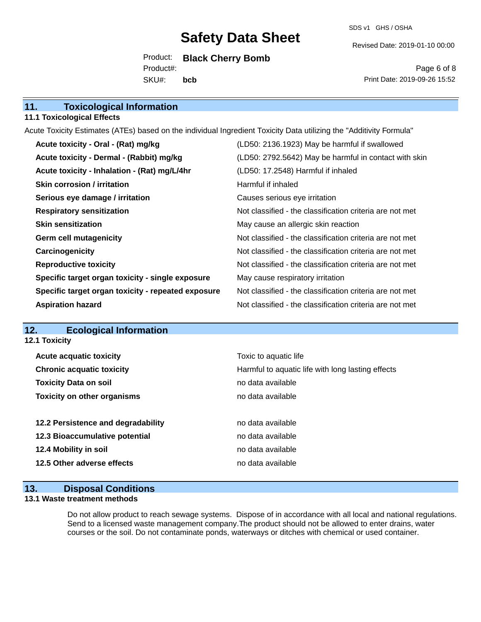Revised Date: 2019-01-10 00:00

Product: **Black Cherry Bomb** SKU#: Product#: **bcb**

Page 6 of 8 Print Date: 2019-09-26 15:52

#### **11.1 Toxicological Effects**

Acute Toxicity Estimates (ATEs) based on the individual Ingredient Toxicity Data utilizing the "Additivity Formula"

| Acute toxicity - Oral - (Rat) mg/kg                | (LD50: 2136.1923) May be harmful if swallowed            |
|----------------------------------------------------|----------------------------------------------------------|
| Acute toxicity - Dermal - (Rabbit) mg/kg           | (LD50: 2792.5642) May be harmful in contact with skin    |
| Acute toxicity - Inhalation - (Rat) mg/L/4hr       | (LD50: 17.2548) Harmful if inhaled                       |
| <b>Skin corrosion / irritation</b>                 | Harmful if inhaled                                       |
| Serious eye damage / irritation                    | Causes serious eye irritation                            |
| <b>Respiratory sensitization</b>                   | Not classified - the classification criteria are not met |
| <b>Skin sensitization</b>                          | May cause an allergic skin reaction                      |
| <b>Germ cell mutagenicity</b>                      | Not classified - the classification criteria are not met |
| Carcinogenicity                                    | Not classified - the classification criteria are not met |
| <b>Reproductive toxicity</b>                       | Not classified - the classification criteria are not met |
| Specific target organ toxicity - single exposure   | May cause respiratory irritation                         |
| Specific target organ toxicity - repeated exposure | Not classified - the classification criteria are not met |
| <b>Aspiration hazard</b>                           | Not classified - the classification criteria are not met |

## **12. Ecological Information**

**12.1 Toxicity**

| <b>Acute acquatic toxicity</b>     | Toxic to aquatic life                             |
|------------------------------------|---------------------------------------------------|
| <b>Chronic acquatic toxicity</b>   | Harmful to aquatic life with long lasting effects |
| <b>Toxicity Data on soil</b>       | no data available                                 |
| <b>Toxicity on other organisms</b> | no data available                                 |
|                                    |                                                   |
| 12.2 Persistence and degradability | no data available                                 |
| 12.3 Bioaccumulative potential     | no data available                                 |
| 12.4 Mobility in soil              | no data available                                 |
| 12.5 Other adverse effects         | no data available                                 |
|                                    |                                                   |

### **13. Disposal Conditions**

#### **13.1 Waste treatment methods**

Do not allow product to reach sewage systems. Dispose of in accordance with all local and national regulations. Send to a licensed waste management company.The product should not be allowed to enter drains, water courses or the soil. Do not contaminate ponds, waterways or ditches with chemical or used container.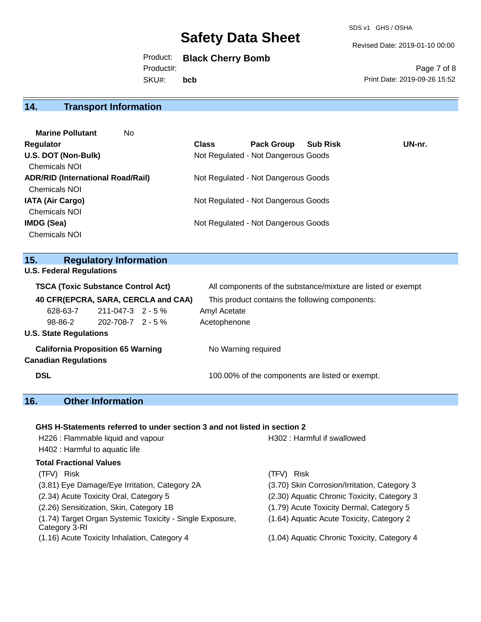SDS v1 GHS / OSHA

Revised Date: 2019-01-10 00:00

Product: **Black Cherry Bomb** SKU#: Product#: **bcb**

Page 7 of 8 Print Date: 2019-09-26 15:52

# **14. Transport Information**

| <b>Marine Pollutant</b><br>No.           |              |                                     |                 |        |
|------------------------------------------|--------------|-------------------------------------|-----------------|--------|
| <b>Regulator</b>                         | <b>Class</b> | <b>Pack Group</b>                   | <b>Sub Risk</b> | UN-nr. |
| U.S. DOT (Non-Bulk)                      |              | Not Regulated - Not Dangerous Goods |                 |        |
| <b>Chemicals NOI</b>                     |              |                                     |                 |        |
| <b>ADR/RID (International Road/Rail)</b> |              | Not Regulated - Not Dangerous Goods |                 |        |
| <b>Chemicals NOI</b>                     |              |                                     |                 |        |
| <b>IATA (Air Cargo)</b>                  |              | Not Regulated - Not Dangerous Goods |                 |        |
| <b>Chemicals NOI</b>                     |              |                                     |                 |        |
| IMDG (Sea)                               |              | Not Regulated - Not Dangerous Goods |                 |        |
| <b>Chemicals NOI</b>                     |              |                                     |                 |        |

#### **15. Regulatory Information**

| 15.                                       | <b>Regulatory Information</b>            |                   |                                                              |                                                 |  |  |
|-------------------------------------------|------------------------------------------|-------------------|--------------------------------------------------------------|-------------------------------------------------|--|--|
| <b>U.S. Federal Regulations</b>           |                                          |                   |                                                              |                                                 |  |  |
| <b>TSCA (Toxic Substance Control Act)</b> |                                          |                   | All components of the substance/mixture are listed or exempt |                                                 |  |  |
|                                           |                                          |                   | 40 CFR(EPCRA, SARA, CERCLA and CAA)                          | This product contains the following components: |  |  |
|                                           | 628-63-7                                 | 211-047-3 2 - 5 % |                                                              | Amyl Acetate                                    |  |  |
|                                           | 98-86-2                                  | 202-708-7 2 - 5 % |                                                              | Acetophenone                                    |  |  |
|                                           | <b>U.S. State Regulations</b>            |                   |                                                              |                                                 |  |  |
|                                           | <b>California Proposition 65 Warning</b> |                   |                                                              | No Warning required                             |  |  |
|                                           | <b>Canadian Regulations</b>              |                   |                                                              |                                                 |  |  |
| <b>DSL</b>                                |                                          |                   |                                                              | 100.00% of the components are listed or exempt. |  |  |

# **16. Other Information**

## **GHS H-Statements referred to under section 3 and not listed in section 2**

| H226 : Flammable liquid and vapour                                        | H302: Harmful if swallowed                   |
|---------------------------------------------------------------------------|----------------------------------------------|
| H402 : Harmful to aquatic life                                            |                                              |
| Total Fractional Values                                                   |                                              |
| (TFV) Risk                                                                | Risk<br>(TFV)                                |
| (3.81) Eye Damage/Eye Irritation, Category 2A                             | (3.70) Skin Corrosion/Irritation, Category 3 |
| (2.34) Acute Toxicity Oral, Category 5                                    | (2.30) Aquatic Chronic Toxicity, Category 3  |
| (2.26) Sensitization, Skin, Category 1B                                   | (1.79) Acute Toxicity Dermal, Category 5     |
| (1.74) Target Organ Systemic Toxicity - Single Exposure,<br>Category 3-RI | (1.64) Aquatic Acute Toxicity, Category 2    |
| (1.16) Acute Toxicity Inhalation, Category 4                              | (1.04) Aquatic Chronic Toxicity, Category 4  |
|                                                                           |                                              |